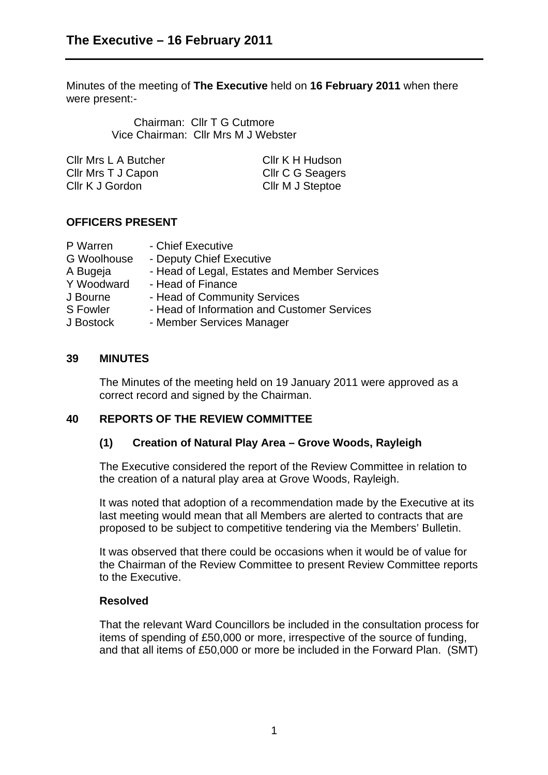Minutes of the meeting of **The Executive** held on **16 February 2011** when there were present:-

> Chairman: Cllr T G Cutmore Vice Chairman: Cllr Mrs M J Webster

| Cllr K H Hudson  |
|------------------|
| Cllr C G Seagers |
| Cllr M J Steptoe |
|                  |

### **OFFICERS PRESENT**

| - Chief Executive                            |
|----------------------------------------------|
| - Deputy Chief Executive                     |
| - Head of Legal, Estates and Member Services |
| - Head of Finance                            |
| - Head of Community Services                 |
| - Head of Information and Customer Services  |
| - Member Services Manager                    |
|                                              |

#### **39 MINUTES**

The Minutes of the meeting held on 19 January 2011 were approved as a correct record and signed by the Chairman.

### **40 REPORTS OF THE REVIEW COMMITTEE**

### **(1) Creation of Natural Play Area – Grove Woods, Rayleigh**

The Executive considered the report of the Review Committee in relation to the creation of a natural play area at Grove Woods, Rayleigh.

It was noted that adoption of a recommendation made by the Executive at its last meeting would mean that all Members are alerted to contracts that are proposed to be subject to competitive tendering via the Members' Bulletin.

It was observed that there could be occasions when it would be of value for the Chairman of the Review Committee to present Review Committee reports to the Executive.

### **Resolved**

That the relevant Ward Councillors be included in the consultation process for items of spending of £50,000 or more, irrespective of the source of funding, and that all items of £50,000 or more be included in the Forward Plan. (SMT)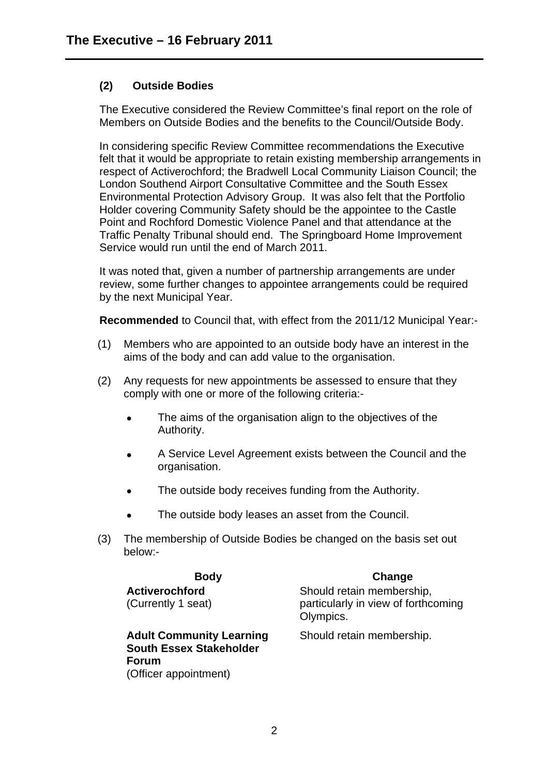# **(2) Outside Bodies**

The Executive considered the Review Committee's final report on the role of Members on Outside Bodies and the benefits to the Council/Outside Body.

In considering specific Review Committee recommendations the Executive felt that it would be appropriate to retain existing membership arrangements in respect of Activerochford; the Bradwell Local Community Liaison Council; the London Southend Airport Consultative Committee and the South Essex Environmental Protection Advisory Group. It was also felt that the Portfolio Holder covering Community Safety should be the appointee to the Castle Point and Rochford Domestic Violence Panel and that attendance at the Traffic Penalty Tribunal should end. The Springboard Home Improvement Service would run until the end of March 2011.

It was noted that, given a number of partnership arrangements are under review, some further changes to appointee arrangements could be required by the next Municipal Year.

**Recommended** to Council that, with effect from the 2011/12 Municipal Year:-

- (1) Members who are appointed to an outside body have an interest in the aims of the body and can add value to the organisation.
- (2) Any requests for new appointments be assessed to ensure that they comply with one or more of the following criteria:-
	- The aims of the organisation align to the objectives of the Authority.
	- A Service Level Agreement exists between the Council and the organisation.
	- The outside body receives funding from the Authority.
	- The outside body leases an asset from the Council.
- (3) The membership of Outside Bodies be changed on the basis set out below:-

| <b>Body</b>                                                                | Change                                                                        |
|----------------------------------------------------------------------------|-------------------------------------------------------------------------------|
| <b>Activerochford</b><br>(Currently 1 seat)                                | Should retain membership,<br>particularly in view of forthcoming<br>Olympics. |
| <b>Adult Community Learning</b><br><b>South Essex Stakeholder</b><br>Forum | Should retain membership.                                                     |

(Officer appointment)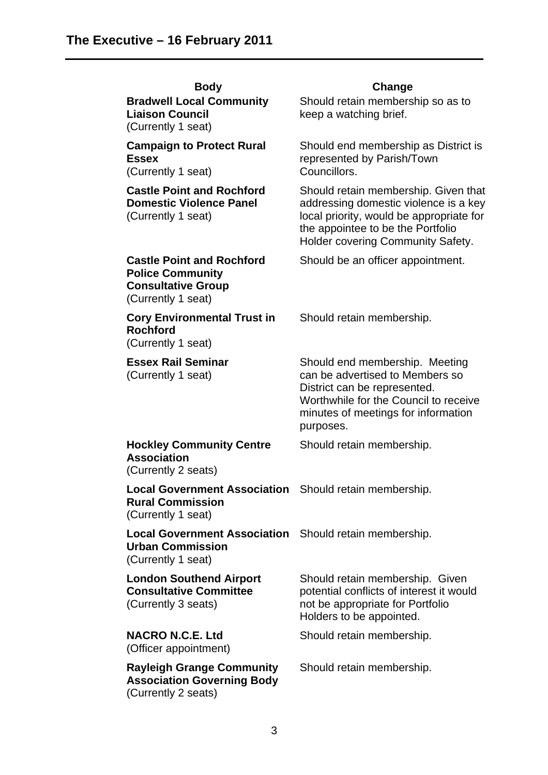| <b>Body</b>                                                                                                    | Change                                                                                                                                                                                              |
|----------------------------------------------------------------------------------------------------------------|-----------------------------------------------------------------------------------------------------------------------------------------------------------------------------------------------------|
| <b>Bradwell Local Community</b><br><b>Liaison Council</b><br>(Currently 1 seat)                                | Should retain membership so as to<br>keep a watching brief.                                                                                                                                         |
| <b>Campaign to Protect Rural</b><br><b>Essex</b><br>(Currently 1 seat)                                         | Should end membership as District is<br>represented by Parish/Town<br>Councillors.                                                                                                                  |
| <b>Castle Point and Rochford</b><br><b>Domestic Violence Panel</b><br>(Currently 1 seat)                       | Should retain membership. Given that<br>addressing domestic violence is a key<br>local priority, would be appropriate for<br>the appointee to be the Portfolio<br>Holder covering Community Safety. |
| <b>Castle Point and Rochford</b><br><b>Police Community</b><br><b>Consultative Group</b><br>(Currently 1 seat) | Should be an officer appointment.                                                                                                                                                                   |
| <b>Cory Environmental Trust in</b><br><b>Rochford</b><br>(Currently 1 seat)                                    | Should retain membership.                                                                                                                                                                           |
| <b>Essex Rail Seminar</b><br>(Currently 1 seat)                                                                | Should end membership. Meeting<br>can be advertised to Members so<br>District can be represented.<br>Worthwhile for the Council to receive<br>minutes of meetings for information<br>purposes.      |
| <b>Hockley Community Centre</b><br><b>Association</b><br>(Currently 2 seats)                                   | Should retain membership.                                                                                                                                                                           |
| Local Government Association Should retain membership.<br><b>Rural Commission</b><br>(Currently 1 seat)        |                                                                                                                                                                                                     |
| Local Government Association Should retain membership.<br><b>Urban Commission</b><br>(Currently 1 seat)        |                                                                                                                                                                                                     |
| <b>London Southend Airport</b><br><b>Consultative Committee</b><br>(Currently 3 seats)                         | Should retain membership. Given<br>potential conflicts of interest it would<br>not be appropriate for Portfolio<br>Holders to be appointed.                                                         |
| <b>NACRO N.C.E. Ltd</b><br>(Officer appointment)                                                               | Should retain membership.                                                                                                                                                                           |
| <b>Rayleigh Grange Community</b><br><b>Association Governing Body</b><br>(Currently 2 seats)                   | Should retain membership.                                                                                                                                                                           |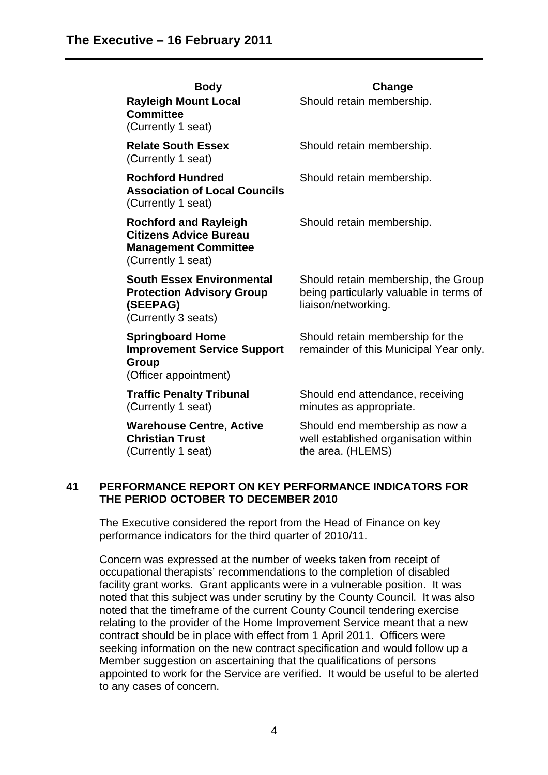| <b>Body</b><br><b>Rayleigh Mount Local</b><br><b>Committee</b><br>(Currently 1 seat)                               | Change<br>Should retain membership.                                                                   |
|--------------------------------------------------------------------------------------------------------------------|-------------------------------------------------------------------------------------------------------|
| <b>Relate South Essex</b><br>(Currently 1 seat)                                                                    | Should retain membership.                                                                             |
| <b>Rochford Hundred</b><br><b>Association of Local Councils</b><br>(Currently 1 seat)                              | Should retain membership.                                                                             |
| <b>Rochford and Rayleigh</b><br><b>Citizens Advice Bureau</b><br><b>Management Committee</b><br>(Currently 1 seat) | Should retain membership.                                                                             |
| <b>South Essex Environmental</b><br><b>Protection Advisory Group</b><br>(SEEPAG)<br>(Currently 3 seats)            | Should retain membership, the Group<br>being particularly valuable in terms of<br>liaison/networking. |
| <b>Springboard Home</b><br><b>Improvement Service Support</b><br>Group<br>(Officer appointment)                    | Should retain membership for the<br>remainder of this Municipal Year only.                            |
| <b>Traffic Penalty Tribunal</b><br>(Currently 1 seat)                                                              | Should end attendance, receiving<br>minutes as appropriate.                                           |
| <b>Warehouse Centre, Active</b><br><b>Christian Trust</b><br>(Currently 1 seat)                                    | Should end membership as now a<br>well established organisation within<br>the area. (HLEMS)           |

### **41 PERFORMANCE REPORT ON KEY PERFORMANCE INDICATORS FOR THE PERIOD OCTOBER TO DECEMBER 2010**

The Executive considered the report from the Head of Finance on key performance indicators for the third quarter of 2010/11.

Concern was expressed at the number of weeks taken from receipt of occupational therapists' recommendations to the completion of disabled facility grant works. Grant applicants were in a vulnerable position. It was noted that this subject was under scrutiny by the County Council. It was also noted that the timeframe of the current County Council tendering exercise relating to the provider of the Home Improvement Service meant that a new contract should be in place with effect from 1 April 2011. Officers were seeking information on the new contract specification and would follow up a Member suggestion on ascertaining that the qualifications of persons appointed to work for the Service are verified. It would be useful to be alerted to any cases of concern.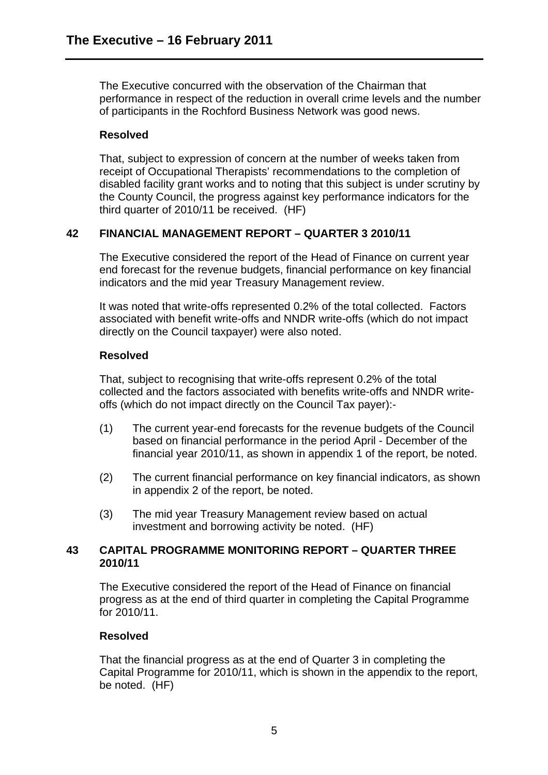The Executive concurred with the observation of the Chairman that performance in respect of the reduction in overall crime levels and the number of participants in the Rochford Business Network was good news.

## **Resolved**

That, subject to expression of concern at the number of weeks taken from receipt of Occupational Therapists' recommendations to the completion of disabled facility grant works and to noting that this subject is under scrutiny by the County Council, the progress against key performance indicators for the third quarter of 2010/11 be received. (HF)

# **42 FINANCIAL MANAGEMENT REPORT – QUARTER 3 2010/11**

The Executive considered the report of the Head of Finance on current year end forecast for the revenue budgets, financial performance on key financial indicators and the mid year Treasury Management review.

It was noted that write-offs represented 0.2% of the total collected. Factors associated with benefit write-offs and NNDR write-offs (which do not impact directly on the Council taxpayer) were also noted.

# **Resolved**

That, subject to recognising that write-offs represent 0.2% of the total collected and the factors associated with benefits write-offs and NNDR writeoffs (which do not impact directly on the Council Tax payer):-

- (1) The current year-end forecasts for the revenue budgets of the Council based on financial performance in the period April - December of the financial year 2010/11, as shown in appendix 1 of the report, be noted.
- (2) The current financial performance on key financial indicators, as shown in appendix 2 of the report, be noted.
- (3) The mid year Treasury Management review based on actual investment and borrowing activity be noted. (HF)

## **43 CAPITAL PROGRAMME MONITORING REPORT – QUARTER THREE 2010/11**

The Executive considered the report of the Head of Finance on financial progress as at the end of third quarter in completing the Capital Programme for 2010/11.

# **Resolved**

That the financial progress as at the end of Quarter 3 in completing the Capital Programme for 2010/11, which is shown in the appendix to the report, be noted. (HF)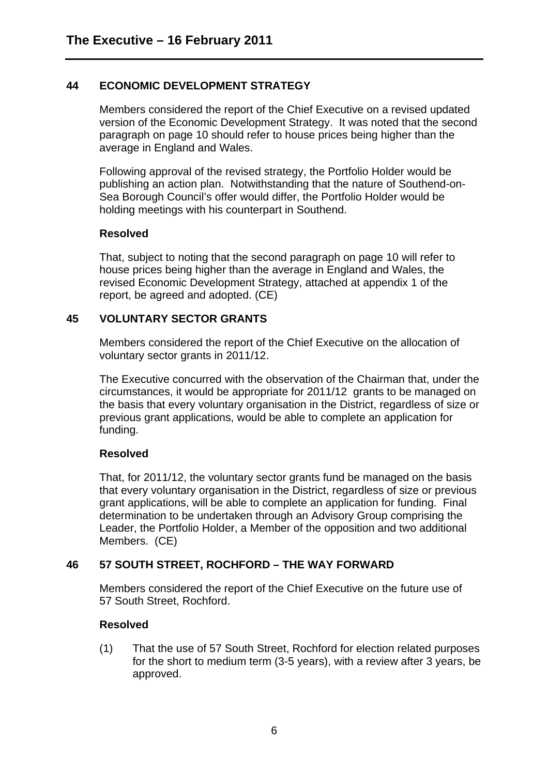## **44 ECONOMIC DEVELOPMENT STRATEGY**

Members considered the report of the Chief Executive on a revised updated version of the Economic Development Strategy. It was noted that the second paragraph on page 10 should refer to house prices being higher than the average in England and Wales.

Following approval of the revised strategy, the Portfolio Holder would be publishing an action plan. Notwithstanding that the nature of Southend-on-Sea Borough Council's offer would differ, the Portfolio Holder would be holding meetings with his counterpart in Southend.

### **Resolved**

That, subject to noting that the second paragraph on page 10 will refer to house prices being higher than the average in England and Wales, the revised Economic Development Strategy, attached at appendix 1 of the report, be agreed and adopted. (CE)

## **45 VOLUNTARY SECTOR GRANTS**

Members considered the report of the Chief Executive on the allocation of voluntary sector grants in 2011/12.

The Executive concurred with the observation of the Chairman that, under the circumstances, it would be appropriate for 2011/12 grants to be managed on the basis that every voluntary organisation in the District, regardless of size or previous grant applications, would be able to complete an application for funding.

### **Resolved**

That, for 2011/12, the voluntary sector grants fund be managed on the basis that every voluntary organisation in the District, regardless of size or previous grant applications, will be able to complete an application for funding. Final determination to be undertaken through an Advisory Group comprising the Leader, the Portfolio Holder, a Member of the opposition and two additional Members. (CE)

# **46 57 SOUTH STREET, ROCHFORD – THE WAY FORWARD**

Members considered the report of the Chief Executive on the future use of 57 South Street, Rochford.

### **Resolved**

(1) That the use of 57 South Street, Rochford for election related purposes for the short to medium term (3-5 years), with a review after 3 years, be approved.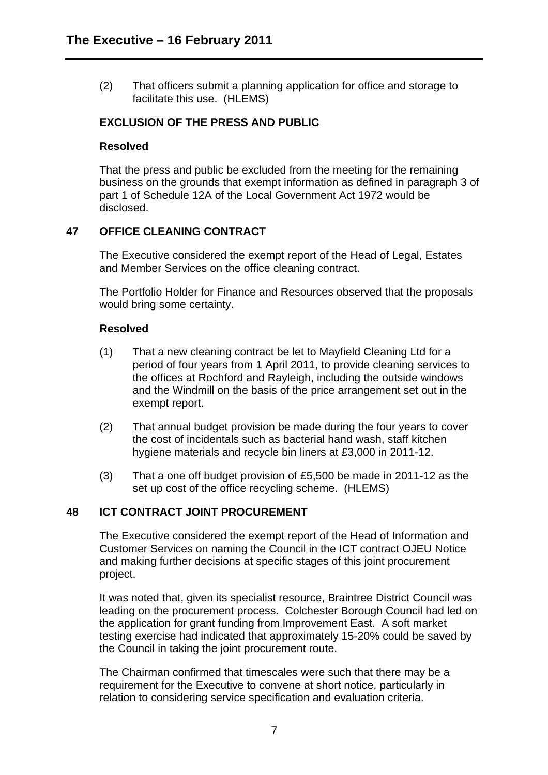(2) That officers submit a planning application for office and storage to facilitate this use. (HLEMS)

### **EXCLUSION OF THE PRESS AND PUBLIC**

#### **Resolved**

That the press and public be excluded from the meeting for the remaining business on the grounds that exempt information as defined in paragraph 3 of part 1 of Schedule 12A of the Local Government Act 1972 would be disclosed.

### **47 OFFICE CLEANING CONTRACT**

The Executive considered the exempt report of the Head of Legal, Estates and Member Services on the office cleaning contract.

The Portfolio Holder for Finance and Resources observed that the proposals would bring some certainty.

#### **Resolved**

- (1) That a new cleaning contract be let to Mayfield Cleaning Ltd for a period of four years from 1 April 2011, to provide cleaning services to the offices at Rochford and Rayleigh, including the outside windows and the Windmill on the basis of the price arrangement set out in the exempt report.
- (2) That annual budget provision be made during the four years to cover the cost of incidentals such as bacterial hand wash, staff kitchen hygiene materials and recycle bin liners at £3,000 in 2011-12.
- (3) That a one off budget provision of £5,500 be made in 2011-12 as the set up cost of the office recycling scheme. (HLEMS)

### **48 ICT CONTRACT JOINT PROCUREMENT**

The Executive considered the exempt report of the Head of Information and Customer Services on naming the Council in the ICT contract OJEU Notice and making further decisions at specific stages of this joint procurement project.

It was noted that, given its specialist resource, Braintree District Council was leading on the procurement process. Colchester Borough Council had led on the application for grant funding from Improvement East. A soft market testing exercise had indicated that approximately 15-20% could be saved by the Council in taking the joint procurement route.

The Chairman confirmed that timescales were such that there may be a requirement for the Executive to convene at short notice, particularly in relation to considering service specification and evaluation criteria.